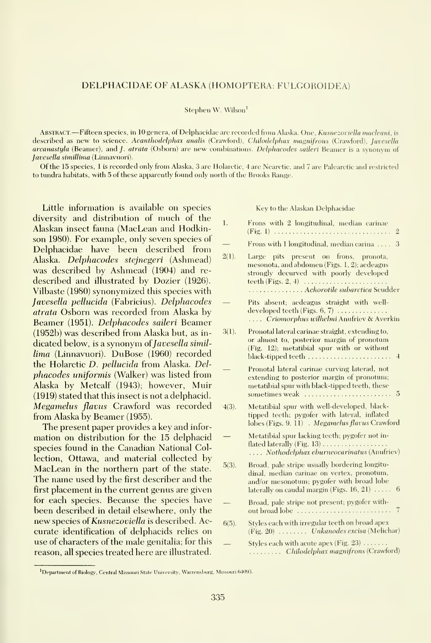### DELPHACIDAE OF ALASKA (HOMOPTERA: FULGOROIDEA)

### Stephen W. Wilson'

Abstract. —Fifteen species, in <sup>10</sup> genera, of Delphacidae are recorded from Alaska. One, Kusnezoviella niacleani, is described as new to science. Acanthodelphax analis (Crawford), Chilodelphax magnifrons (Crawford), Javesella arcanastyla (Beamer), and *J. atrata* (Osborn) are new combinations. Delphacodes saileri Beamer is a synonym of Javesella simillima (Linnavuori).

Of the 15 species, <sup>1</sup> is recorded only from Alaska, 3 are Holarctic, 4 are Nearctic, and 7 are Palearctic and restricted to tundra habitats, with 5 of these apparently found only north of the Brooks Range.

Little information is available on species diversity and distribution of much of the Alaskan insect fauna (MacLean and Hodkinson 1980). For example, only seven species of Delphacidae have been described from Alaska. Delphacodes stejnegeri (Ashmead) was described by Ashmead (1904) and re described and illustrated by Dozier (1926). Vilbaste (1980) synonymized this species with Javesella pelhicida (Fabricius). Delphacodes atrata Osborn was recorded from Alaska by Beamer (1951). Delphacodes saileri Beamer (1952b) was described from Alaska but, as in dicated below, is a synonym of *Javesella simil*lima (Linnavuori). DuBose (1960) recorded the Holarctic D. pellucida from Alaska. Delphacodes uniformis (Walker) was listed from Alaska by Metcalf (1943); however, Muir (1919) stated that this insect is not a delphacid. Megamelus flavus Crawford was recorded from Alaska by Beamer (1955).

The present paper provides a key and infor mation on distribution for the 15 delphacid species found in the Canadian National Collection, Ottawa, and material collected by MacLean in the northern part of the state. The name used by the first describer and the first placement in the current genus are given for each species. Because the species have been described in detail elsewhere, only the new species of Kusnezoviella is described. Accurate identification of delphacids relies on use of characters of the male genitalia; for this reason, all species treated here are illustrated.

Key to the Alaskan Delphacidae

| 1.       | Frons with 2 longitudinal, median carinae<br>$(Fig. I)$<br>$\overline{2}$                                                                                                                          |
|----------|----------------------------------------------------------------------------------------------------------------------------------------------------------------------------------------------------|
|          | Frons with 1 longitudinal, median carina<br>3                                                                                                                                                      |
| 2(1).    | Large pits present on frons, pronota,<br>mesonota, and abdomen (Figs. 1, 2); aedeagus<br>strongly decurved with poorly developed<br>Achorotile subarctica Scudder                                  |
|          | Pits absent; aedeagus straight with well-<br>developed teeth (Figs. $6, 7$ )<br>Criomorphus wilhelmi Anufriev & Averkin                                                                            |
| 3(1).    | Pronotal lateral carinae straight, extending to,<br>or almost to, posterior margin of pronotum<br>(Fig. 12); metatibial spur with or without<br>$\overline{1}$                                     |
|          | Pronotal lateral carinae curving laterad, not<br>extending to posterior margin of pronotum;<br>metatibial spur with black-tipped teeth, these<br>5                                                 |
| $4(3)$ . | Metatibial spur with well-developed, black-<br>tipped teeth; pygofer with lateral, inflated<br>lobes (Figs. 9, 11). Megamelus flavus Crawford                                                      |
|          | Metatibial spur lacking teeth; pygofer not in-<br>flated laterally (Fig. 13)<br>Nothodelphax eburneocarinatus (Anufriev)                                                                           |
| $5(3)$ . | Broad, pale stripe usually bordering longitu-<br>dinal, median carinae on vertex, pronotum,<br>and/or mesonotum; pygofer with broad lobe<br>laterally on caudal margin (Figs. 16, 21) $\dots$<br>6 |
|          | Broad, pale stripe not present; pygofer with-<br>7<br>out broad lobe                                                                                                                               |
| $6(5)$ . | Styles each with irregular teeth on broad apex<br>(Fig. 20)  Unkanodes excisa (Melichar)                                                                                                           |
|          | Styles each with acute apex (Fig. $23$ ) $\dots$<br>Chilodelphax magnifrons (Crawford)                                                                                                             |

<sup>&</sup>lt;sup>1</sup>Department of Biology, Central Missouri State University, Warrensburg, Missouri 64093.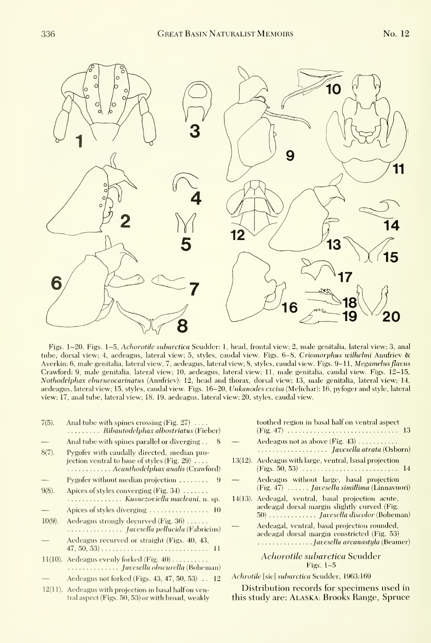



Figs. 1-20. Figs. 1-5, Achorotile subarctica Scudder; 1, head, frontal view; 2, male genitalia, lateral view; 3, anal tube, dorsal view; 4, aedeagus, lateral view; 5, styles, caudal view. Figs. 6-8, Criomorphus wilhelmi Anufriev & Averkin: 6, male genitalia, lateral view, 7, aedeagus, lateral view; 8, styles, caudal view. Figs. 9-11, Megamelus flavus Crawford: 9, male genitalia, lateral view; 10, aedeagus, lateral view; 11, male genitalia, caudal view. Figs. 12-15, Nothodelphax ehurneocarinatus (Anufriev): 12, head and thorax, dorsal view; 13, male genitalia, lateral view; 14, aedeagus, lateral view; 15, styles, caudal view. Figs. 16-20, Unkanodes excisa (Melichar): 16, pyfoger and style, lateral view; 17, anal tube, lateral view; 18, 19, aedeagus, lateral view; 20, styles, caudal view.

| $7(5)$ .  | Anal tube with spines crossing (Fig. 27) $\dots$<br>Ribautodelphax albostriatus (Fieber)                                               |                        |
|-----------|----------------------------------------------------------------------------------------------------------------------------------------|------------------------|
|           | Anal tube with spines parallel or diverging<br>8                                                                                       |                        |
| $8(7)$ .  | Pygofer with caudally directed, median pro-<br>jection ventral to base of styles (Fig. 29) $\dots$<br>Acanthodelphax analis (Crawford) | 1.                     |
|           | Pygofer without median projection<br>9                                                                                                 |                        |
| $9(8)$ .  | Apices of styles converging (Fig. 34) $\dots\dots$<br>Kusnezoviella macleani, n. sp.                                                   | $\mathbf{1}$           |
|           | Apices of styles diverging $\dots\dots\dots\dots\dots$<br>- 10                                                                         |                        |
| $10(9)$ . | Aedeagus strongly decurved (Fig. 36)<br>Javesella pellucida (Fabricius)                                                                |                        |
|           | Aedeagus recurved or straight (Figs. 40, 43,<br>$47, 50, 53)$<br>$\mathbf{H}$                                                          |                        |
|           | 11(10). Aedeagus evenly forked (Fig. $40$ )<br>Javesella obscurella (Boheman)                                                          |                        |
|           | Aedeagus not forked (Figs. $43, 47, 50, 53$ )<br>- 12                                                                                  | $\boldsymbol{\Lambda}$ |
|           | the contract of the contract of the contract of the contract of the contract of the contract of the contract of                        |                        |

12(11). Aedeagus with projection in basal half on ventral aspect (Figs. 50, 53) or with broad, weakly

| toothed region in basal half on ventral aspect                                                                                          |
|-----------------------------------------------------------------------------------------------------------------------------------------|
| Aedeagus not as above $(Fig. 43)$<br><i>Javesella atrata</i> (Osborn)                                                                   |
| 13(12). Aedeagus with large, ventral, basal projection                                                                                  |
| Aedeagus without large, basal projection<br>$(Fig. 47)$ <i>Javesella simillima</i> (Linnavuori)                                         |
| 14(13). Aedeagal, ventral, basal projection acute,<br>aedeagal dorsal margin slightly curved (Fig.<br>50)  Javesella discolor (Boheman) |
| Aedeagal, ventral, basal projection rounded,<br>aedeagal dorsal margin constricted (Fig. 53)<br>Javesella arcanastyla (Beamer)          |
| Achorotile subarctica Scudder<br>Figs. $1-5$                                                                                            |

Achrotile [sic] subarctica Scudder, 1963:169

Distribution records for specimens used in this study are: Alaska: Brooks Range, Spruce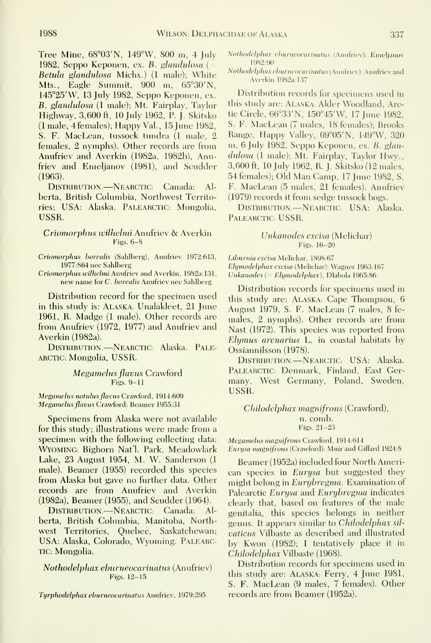Tree Mine, 68°03'N, 149°W, 800 m, 4 July 1982, Seppo Keponen, ex. B. glandulosa ( $=$ Betula glandulosa Michx.) (1 male); White Mts., Eagle Summit, 900 m, 65°30'N, 145°25'W, 13 July 1982, Seppo Keponen, ex. B. glandulosa (1 male); Mt. Fairplay, Taylor Highway, 3,600 ft, 10 July 1962, P. J. Skitsko (1 male, 4 females); Happy Val, 15 June 1982, S. F. MacLean, tussock tundra (1 male, 2 females, 2 nymphs). Other records are from Anufriev and Averkin (1982a, 1982b), Anufriev and Emeljanov (1981), and Scudder (1963).

DISTRIBUTION.—NEARCTIC: Canada: Alberta, British Columbia, Northwest Territories; USA: Alaska. PALEARCTIC: Mongolia, USSR.

## Criomorphus wilhelmi Anufriev & Averkin Figs. 6-8

Criomorphus borealis (Sahlberg), Anufriev 1972:613, 1977:864 nee Sahlberg

Criomorphus wilhelmi Anufriev and Averkin, 1982a: 131; new name for C. borealis Anufriev nee Sahlberg

Distribution record for the specimen used in this study is: ALASKA; Unalakleet, 21 June 1961, R. Madge (1 male). Other records are from Anufriev (1972, 1977) and Anufriev and Averkin (1982a).

DISTRIBUTION.—NEARCTIC: Alaska. PALE-ARCTIC: Mongolia, USSR.

# Megamelus flavus Crawford Figs. 9-11

Megamelus notulus flavus Crawford, 1914:609 Megamehis flavus Crawford; Beamer 1955:31

Specimens from Alaska were not available for this study; illustrations were made from <sup>a</sup> specimen with the following collecting data: WYOMING: Bighorn Nat'l. Park, Meadowlark Lake, 23 August 1954, M. W. Sanderson (1 male). Beamer (1955) recorded this species from Alaska but gave no further data. Other records are from Anufriev and Averkin (1982a), Beamer (1955), and Scudder (1964).

Distribution.—NearctiC: Canada: Al berta, British Columbia, Manitoba, Northwest Territories, Quebec, Saskatchewan; USA: Alaska, Colorado, Wyoming. PalearC-TIC; Mongolia.

# Nothodelphax ehurneocarinatus (Anufriev) Figs. 12-15

Tyrphodelphax ehurneocarinatus Anufriev, 1979:295

Nothodelphax ehurneocarinatus (Anufriev): Emeljanov <sup>1</sup> 982:90

Nothodelphax ehurneocarinatus (Anufriev): Anufriev and Averkin 1982a: 137

Distribution records for specimens used in this study are: ALASKA; Alder Woodland, Arctic Circle, 66°33'N, 150°45'W, 17 June 1982, S. F. MacLean (7 males, 18 females); Brooks Range, Happy Valley, 69°05'N, 149°W, 320 m, 6 July 1982, Seppo Keponen, ex. B. glandulosa (1 male); Mt. Fairplav, Taylor Hwy., 3,600 ft, 10 July 1962, R. J. Skitsko (12 males, 54 females); Old Man Camp, 17 June 1982, S. F. MacLean (5 males, 21 females). Anufriev (1979) records it from sedge tussock bogs.

DISTRIBUTION.—NEARCTIC: USA: Alaska. PALEARCTIC: USSR.

## Unkanodes excisa (Melichar) Figs. 16-20

Liburnia excisa Melichar, 1898:67 Elymodelphax excisa (Melichar): Wagner 1963:167 Unkanodes {= Ehjmodelphax), Dlabola 1965:86

Distribution records for specimens used in this study are: ALASKA: Cape Thompson, 6 August 1979, S. F. MacLean (7 males, 8 fe males, 2 nymphs). Other records are from Nast (1972). This species was reported from Elymus arenarius L. in coastal habitats by Ossiannilsson (1978).

DISTRIBUTION.—NEARCTIC: USA: Alaska. PALEARCTIC: Denmark, Finland, East Germanv. West Germany, Poland, Sweden, USSR.

Chilodelphax magnifrons (Crawford), n. comb. Figs. 21-23

Megamehis magnifrons Crawford, 1914:614 Eurysa magnifrons (Crawford): Muir and Giffard 1924:8

Beamer (1952a) included four North American species in Eurysa but suggested they might belong in *Eurybregma*. Examination of Palearctic Eurysa and Eurybregma indicates clearly that, based on features of the male genitalia, this species belongs in neither genus. It appears similar to Chilodelphax sil vaticus Vilbaste as described and illustrated by Kwon (1982); <sup>I</sup> tentatively place it in Chilodelphax Vilbaste (1968).

Distribution records for specimens used in this study are: Alaska: Ferry, 4 June 1981, S. F. MacLean (9 males, 7 females). Other records are from Beamer (1952a).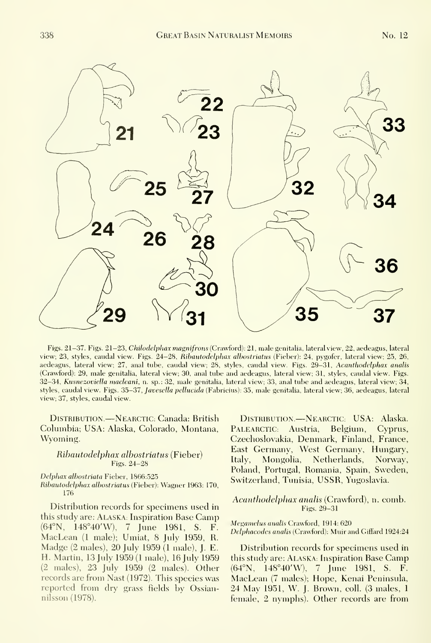

Figs. 21-37. Figs. 21-23, Chilodelphax magnifrons (Crawford): 21, male genitalia, lateral view, 22, aedeagus, lateral view; 23, styles, caudal view. Figs. 24-28, Ribautodelphax albostriatus (Fieber): 24, pygofer, lateral view; 25, 26, aedeagus, lateral view; 27, anal tube, caudal view; 28, styles, caudal view. Figs. 29-31, Acanthodelphax analis (Crawford): 29, male genitalia, lateral view; 30, anal tube and aedeagus, lateral view; 31, styles, caudal view. Figs. 32-34, Kusnezoviella macleani, n. sp.; 32, male genitalia, lateral view; 33, anal tube and aedeagus, lateral view; 34, styles, caudal view. Figs. 35-37, Javesella pellucida (Fabricius): 35, male genitalia, lateral view; 36, aedeagus, lateral view; 37, styles, caudal view.

DISTRIBUTION. —NEARCTIC: Canada: British Columbia; USA: Alaska, Colorado, Montana, Wyoming.

## Ribautodelphax albostriatus (Fieber) Figs. 24-28

#### Delphax albostriata Fieber, 1866:525

# Ribautodelphax albostriatus (Fieher): Wagner 1963: 170, 176

Distribution records for specimens used in this study are: Alaska: Inspiration Base Camp (64°N, 148°40'W), 7 June 1981, S. F. MacLean (1 male); Umiat, 8 July 1959, R. Madge (2 males), 20 July 1959 (1 male), J. E. H. Martin, 13 July 1959(1 male), 16 July 1959 (2 males), 23 July 1959 (2 males). Other records are from Nast (1972). This species was reported from dry grass fields bv Ossiannilsson (1978).

DISTRIBUTION.—NEARCTIC: USA: Alaska. PALEARCTIC: Austria, Belgium, Cyprus, Czechoslovakia, Denmark, Finland, France, East Germany, West Germany, Hungary, Italy, Mongolia, Netherlands, Norway, Poland, Portugal, Romania, Spain, Sweden, Switzerland, Tunisia, USSR, Yugoslavia.

# Acanthodelphax analis (Crawford), n. comb. Figs. 29-31

#### Megamelus analis Crawford, 1914: 620 Delphacodes analis (Crawford): Muir and Giffard 1924:24

Distribution records for specimens used in this study are: ALASKA: Inspiration Base Camp (64°N, 148°40'W), 7 June 1981, S. F. MacLean (7 males); Hope, Kenai Peninsula, 24 May 1951, W. J. Brown, coll. (3 males, <sup>1</sup> female, 2 nymphs). Other records are from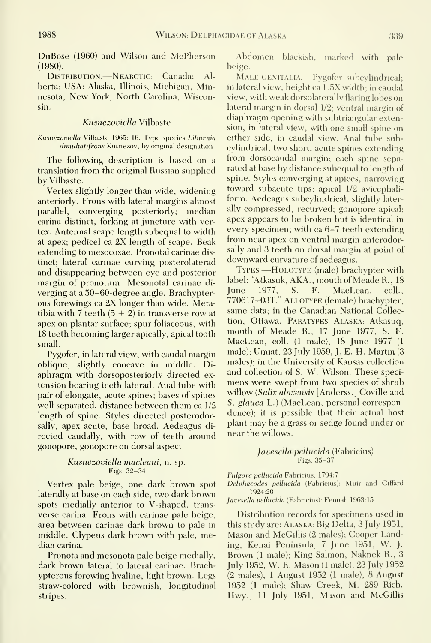DuBose (1960) and Wilson and McPherson (1980).

Distribution.—NearctiC: Canada: Al berta; USA: Alaska, Illinois, Michigan, Minnesota, New York, North Carolina, Wisconsin.

## Kusnezoviella Vilbaste

Kusnezoviella Vilbaste 1965: 16. Type species Liburnia dimidiatifrons Kusnezov, by original designation

The following description is based on a translation from the original Russian supplied by Vilbaste.

Vertex slightly longer than wide, widening anteriorly. Frons with lateral margins almost parallel, converging posteriorly; median carina distinct, forking at juncture with vertex. Antennal scape length subequal to width at apex; pedicel ca 2X length of scape. Beak extending to mesocoxae. Pronotal carinae distinct; lateral carinae curving posterolaterad and disappearing between eye and posterior margin of pronotum. Mesonotal carinae di-<br>verging at a 50–60-degree angle. Brachynter- June verging at a 50-60-degree angle. Brachypterous forewings ca 2X longer than wide. Metatibia with 7 teeth  $(5 + 2)$  in transverse row at apex on plantar surface; spur foliaceous, with 18 teeth becoming larger apically, apical tooth small.

Pygofer, in lateral view, with caudal margin oblique, slightly concave in middle. Diaphragm with dorsoposteriorly directed ex tension bearing teeth laterad. Anal tube with pair of elongate, acute spines; bases of spines well separated, distance between them ca 1/2 length of spine. Styles directed posterodorsally, apex acute, base broad. Aedeagus di rected caudally, with row of teeth around gonopore, gonopore on dorsal aspect.

## Kusnezoviella macleani, n. sp. Figs.  $32-34$

Vertex pale beige, one dark brown spot laterally at base on each side, two dark brown spots medially anterior to V-shaped, trans verse carina. Frons with carinae pale beige, area between carinae dark brown to pale in middle. Clypeus dark brown with pale, median carina.

Pronota and mesonota pale beige medially, dark brown lateral to lateral carinae. Brachypterous forewing hyaline, light brown. Legs straw-colored with brownish, longitudinal stripes.

Abdomen blackish, marked with pale beige.

MALE GENITALIA.—Pygofer subcylindrical; in lateral view, height ca 1.5X width; in caudal view, with weak dorsolaterally flaring lobes on lateral margin in dorsal 1/2; ventral margin of diaphragm opening with subtriangular extension, in lateral view, with one small spine on either side, in caudal view. Anal tube subcylindrical, two short, acute spines extending from dorsocaudal margin; each spine sepa rated at base by distance subequal to length of spine. Styles converging at apices, narrowing toward subacute tips; apical 1/2 avicephaliform. Aedeagus subcylindrical, slightly laterally compressed, recurved; gonopore apical; apex appears to be broken but is identical in every specimen; with ca 6-7 teeth extending from near apex on ventral margin anterodorsally and 3 teeth on dorsal margin at point of downward curvature of aedeagus.

TYPES.—HOLOTYPE (male) brachypter with label: "Atkasuk, AKA. , mouth of Meade R. , 18 1977, S. F. MacLean, coll., 770617-03T." Allotype (female) brachypter, same data; in the Canadian National Collection, Ottawa. ParatypeS: Alaska: Atkasuq, mouth of Meade R., 17 June 1977, S. F. MacLean, coll. (1 male), 18 June 1977 (1 male); Umiat, 23 July 1959, J. E. H. Martin (3 males); in the University of Kansas collection and collection of S. W. Wilson. These speci mens were swept from two species of shrub willow (Salix alaxensis [Anderss.] Coville and S. glauca L.) (MacLean, personal correspondence); it is possible that their actual host plant may be a grass or sedge found under or near the willows.

## Javesella pellucida (Fabricius) Figs. 35-37

Fulgora pellucida Fabricius, 1794:7

Delphacodes pellucida (Fabricius): Muir and Giffard 1924:20

Javesella pellucida (Fabricius): Fennah 1963:15

Distribution records for specimens used in this study are: Alaska: Big Delta, 3 July 1951, Mason and McGillis (2 males); Cooper Landing, Kenai Peninsula, <sup>7</sup> June 1951, W. J. Brown (1male); King Salmon, Naknek R., 3 July 1952, W. R. Mason (1 male), 23 July 1952 (2 males), <sup>1</sup> August 1952 (1 male), 8 August 1952 (1 male); Shaw Creek, M. 289 Rich. Hwy., 11 July 1951, Mason and McGillis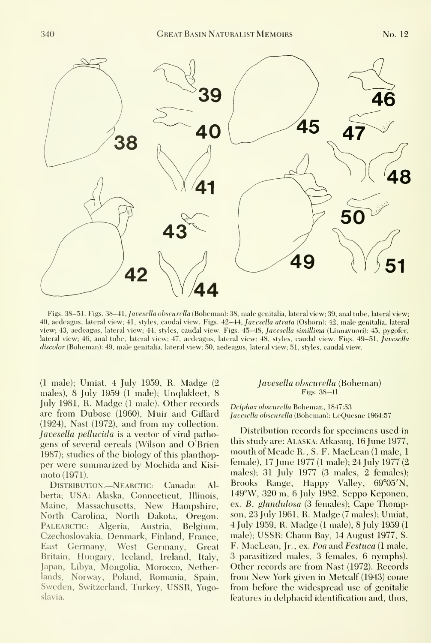

Figs. 38-51. Figs. 38-41, Javesella obscurella (Boheman): 38, male genitalia, lateral view; 39, anal tube, lateral view; 40, aedeagus, lateral view; 41, styles, caudal view. Figs. 42-44, Javesella atrata (Osborn): 42, male genitalia, lateral view; 43, aedeagus, lateral view; 44, styles, caudal view. Figs. 45-48, Javesella simillima (Linnavuori): 45, pygofer, lateral view; 46, anal tube, lateral view; 47, aedeagus, lateral view; 48, styles, caudal view. Figs. 49-51, Javesella discolor (Boheman): 49, male genitalia, lateral view; 50, aedeagus, lateral view; 51, styles, caudal view.

(1 male); Umiat, 4 July 1959, R. Madge (2 males), 8 July 1959 (1 male); Unqlakleet, 8 July 1981, R. Madge (1 male). Other records are from Dubose (1960), Muir and Giffard (1924), Nast (1972), and from my collection. Javesella pellucida is a vector of viral pathogens of several cereals (Wilson and O Brien 1987); studies of the biology of this planthopper were summarized by Mochida and Kisi moto (1971).

Distribution.—Nearctic: Canada: Alberta; USA: Alaska, Connecticut, Illinois, Maine, Massachusetts, New Hampshire, North Carolina, North Dakota, Oregon. PALEARCTIC: Algeria, Austria, Belgium, Czechoslovakia, Denmark, Finland, France, East Germany, West Germany, Great Britain, Hungary, Iceland, Ireland, Italy, Japan, Libya, Mongolia, Morocco, Netherlands, Norway, Poland, Romania, Spain, Sweden, Switzerland, Turkey, USSR, Yugoslavia.

# Javesella obscurella (Boheman) Figs. 38-41

Delphax obscurella Boheman, 1847:53 Javesella obscurella (Boheman): LeQuesne 1964:57

Distribution records for specimens used in this study are: ALASKA: Atkasuq, 16 June 1977, mouth of Meade R., S. F. MacLean (1 male, <sup>1</sup> female), 17 June 1977 (1 male); 24 July 1977 (2 males); 31 July 1977 (3 males, 2 females); Brooks Range, Happy Valley, 69°05'N, 149°W, 320 m, 6 July 1982, Seppo Keponen, ex. B. glandulosa (3 females); Cape Thompson, 23 Julv 1961, R. Madge (7males); Umiat, 4 July 1959, R. Madge (1 male), 8 July 1959 (1 male); USSR: Chaun Bay, 14 August 1977, S. F. MacLean, Jr., ex. Poa and Festuca (1 male, 3 parasitized males, 3 females, 6 nymphs). Other records are from Nast (1972). Records from New York given in Metcalf (1943) come from before the widespread use of genitalic features in delphacid identification and, thus,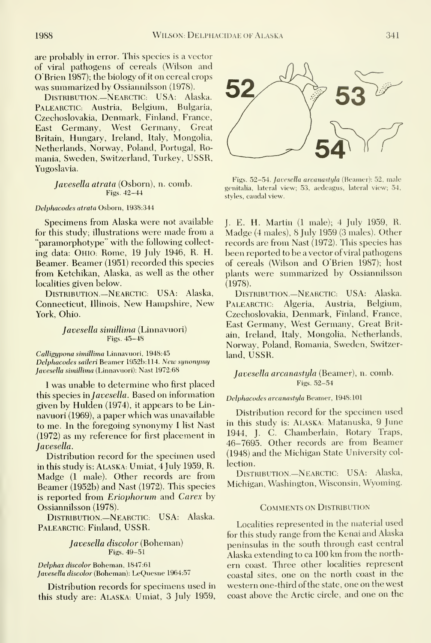are probably in error. This species is a vector of viral pathogens of cereals (Wilson and O'Brien 1987); the biology of iton cereal crops was summarized by Ossiannilsson (1978).

Distribution.—NearctiC: USA: Alaska. PALEARCTIC: Austria, Belgium, Bulgaria, Czechoslovakia, Denmark, Finland, France, East Germany, West Germany, Great Britain, Hungary, Ireland, Italy, Mongolia, Netherlands, Norway, Poland, Portugal, Romania, Sweden, Switzerland, Turkey, USSR, Yugoslavia.

> Javesella atrata (Osborn), n. comb. Figs. 42-44

#### Delphacodes atrata Osborn, 1938:344

Specimens from Alaska were not available for this study; illustrations were made from <sup>a</sup> "paramorphotype" with the following collect ing data: OHIO: Rome, 19 July 1946, R. H. Beamer. Beamer (1951) recorded this species from Ketchikan, Alaska, as well as the other localities given below.

DISTRIBUTION.-NEARCTIC: USA: Alaska, Connecticut, Illinois, New Hampshire, New York, Ohio.

### Javesella simillima (Linnavuori) Figs. 45-48

Calligypona simillima Linnavuori, 1948:45 Delphacodes saileri Beamer 1952b: 114. New synonymy Javesella simillima (Linnavuori): Nast 1972:68

<sup>I</sup> was unable to determine who first placed this species in Javesella. Based on information given by Hulden (1974), it appears to be Linnavuori (1969), a paper which was unavailable to me. In the foregoing synonymy I list Nast (1972) as my reference for first placement in Javesella.

Distribution record for the specimen used in this study is: ALASKA: Umiat, 4 July 1959, R. Madge (1 male). Other records are from Beamer (1952b) and Nast (1972). This species is reported from Eriophorum and Carex by Ossiannilsson (1978).

Distribution—NEARCTIC: USA: Alaska. PALEARCTIC: Finland, USSR.

# Javesella discolor (Boheman) Figs. 49-51

Delphax discolor Boheman, 1847:61

Javesella discolor (Boheman): LeQuesne 1964:57

Distribution records for specimens used in this study are: Alaska: Umiat, 3 July 1959,



Figs. 52-54. Javesella arcanastyla (Beamer); 52, male genitalia, lateral view; 53, aedeagus, lateral view; 54, styles, caudal view.

J. E. H. Martin (1 male); 4 July 1959, R. Madge (4males), 8 July 1959 (3 males). Other records are from Nast (1972). This species has been reported to be a vector of viral pathogens of cereals (Wilson and O'Brien 1987); host plants were summarized bv Ossiannilsson (1978).

DISTRIBUTION .- NEARCTIC: USA: Alaska. PALEARCTIC: Algeria, Austria, Belgium, Czechoslovakia, Denmark, Finland, France, East Germany, West Germany, Great Britain, Ireland, Italy, Mongolia, Netherlands, Norway, Poland, Romania, Sweden, Switzerland, USSR.

## Javesella arcanastyla (Beamer), n. comb. Figs. 52-54

### Delphacodes arcanastyla Beamer, 1948:101

Distribution record for the specimen used in this study is: ALASKA; Matanuska, 9 June 1944, J. C. Chamberlain, Rotary Traps, 46-7695. Other records are from Beamer (1948) and the Michigan State University col lection.

Distribution.—NEARCTIC: USA: Alaska, Michigan, Washington, Wisconsin, Wyoming.

#### Comments on Distribution

Localities represented in the material used for this study range from the Kenai and Alaska peninsulas in the south through east central Alaska extending to ca 100 km from the north ern coast. Three other localities represent coastal sites, one on the north coast in the western one-third of the state, one on the west coast above the Arctic circle, and one on the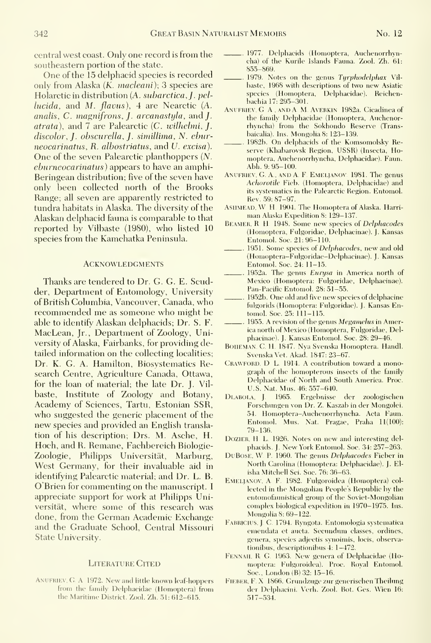central west coast. Only one record is from the southeastern portion of the state.

One of the 15 delphacid species is recorded only from Alaska (K. macleani); 3 species are Holarctic in distribution (A. subarctica,] . pel $lucida$ , and M. flavus), 4 are Nearctic  $(A.$ analis, C. magnifrons, J. arcanastyla, and J. atrata), and 7 are Palearctic (C. wilhehni, J. discolor, J. obscurella, J. simillima, N. eburneocarinatus, R. albostriatus, and V. excisa). One of the seven Palearctic planthoppers (N. eburneocarinatus) appears to have an amphi-Beringean distribution; five of the seven have only been collected north of the Brooks Range; all seven are apparently restricted to tundra habitats in Alaska. The diversity of the Alaskan delphacid fauna iscomparable to that reported by Vilbaste (1980), who listed 10 species from the Kamchatka Peninsula.

#### **ACKNOWLEDGMENTS**

Thanks are tendered to Dr. G. G. E. Scudder, Department of Entomology, University of British Columbia, Vancouver, Canada, who recommended me as someone who might be able to identify Alaskan delphacids; Dr. S. F. MacLean, Jr., Department of Zoology, University of Alaska, Fairbanks, for providing detailed information on the collecting localities; Dr. K. G. A. Hamilton, Biosystematics Research Centre, Agriculture Canada, Ottawa, for the loan of material; the late Dr. J. Vil baste, Institute of Zoology and Botany, Academy of Sciences, Tartu, Estonian SSR, who suggested the generic placement of the new species and provided an English transla tion of his description; Drs. M. Asche, H. Hoch, and R. Remane, Fachbereich Biologie-Zoologie, Philipps Universität, Marburg, West Germany, for their invaluable aid in identifying Palearctic material; and Dr. L. B. O'Brien for commenting on the manuscript. <sup>I</sup> appreciate support for work at Philipps Universitat, where some of this research was done, from the German Academic Exchange and the Graduate School, Central Missouri State University.

## LITERATURE CITED

ANUFRIEV, G. A. 1972. New and little known leaf-hoppers from the family Delphaeidae (Homoptera) from the Maritime District. Zool. Zh. 51: 612-615.

- 1977. Delphacids (Homoptera, Auchenorrhyncha) of the Kurile Islands Fauna. Zool. Zh. 61: 855-869.
- 1979. Notes on the genus Tyrphodelphax Vilbaste, 1968 with descriptions of two new Asiatic species (Homoptera, Delphaeidae). Reichenbachia 17: 295-301.
- Anufriev, G A , and A M. Averkin 1982a. Cicadinea of the family Delphaeidae (Homoptera, Auchenorrhyncha) from the Sokhondo Reserve (Transbaicalia). Ins. Mongolia 8: 123–139.
- 1982b. On delphacids of the Komsomolsky Reserve (Khabarovsk Region, USSR) (Insecta, Homoptera, Auchenorrhvncha, Delphaeidae). Faun. Abh. 9: 95-100.
- Anufriev, G. A , and A. F. Emeljanov. 1981. The genus Achorotile Fieb. (Homoptera, Delphaeidae) and its svstematies in the Palearctic Region. Entomol. Rev. 59: 87-97.
- ASHMEAD, W H. 1904. The Homoptera of Alaska. Harriman Alaska Expedition 8: 129-137.
- BEAMER, R. H. 1948. Some new species of Delphacodes (Homoptera, Fulgoridae, Delphacinae). J. Kansas Entomol. Soc. 21:96-110.
- 1951. Some species of Delphacodes, new and old (Homoptera-Fulgoridae-Delphacinae). J. Kansas Entomol. Soc. 24: 11-15.
- 1952a. The genus Eurysa in America north of Mexico (Homoptera: Fulgoridae, Delphacinae). Pan-Pacific Entomol. 28: 51-55.
- 1952b. One old and five new species of delphacine fulgorids (Homoptera: Fulgoridae). J. Kansas Entomol. Soc. 25: 111-115.
- 1955. A revision of the genus Megamelus in America north of Mexico (Homoptera, Fulgoridae, Delphacinae). J. Kansas Entomol. Soc. 28: 29-46.
- BOHEMAN, C. H. 1847. Nya Svenska Homoptera. Handl. Svenska Vet. Akad. 1847: 23-67.
- CRAWFORD, D. L. 1914. A contribution toward a monograph of the homopterous insects of the family Delphaeidae of North and South America. Proc. U.S. Nat. Mus. 46: 557-640.
- DLABOLA, J. 1965. Ergebnisse der zoologischen Forschungen von Dr. Z. Kaszab in der Mongolei. 54. Homoptera-Auchenorrhyncha. Acta Faun. Entomol. Mus. Nat. Pragae, Praha 11(100): 79-136.
- DOZIER, H. L. 1926. Notes on new and interesting delphacids. J. New York Entomol. Soc. 34: 257-263.
- DuBoSE, W P. 1960. The genus Delphacodes Fieber in North Carolina (Homoptera: Delphaeidae). J. El isha Mitchell Sei. Soc. 76: 36-63.
- Emeljanov, A F. 1982. Fulgoroidea (Homoptera) col lected in the Mongolian People's Republic by the entomofaunistical group of the Soviet-Mongolian complex biological expedition in 1970-1975. Ins. Mongolia 8: 69-122.
- FABRICIUS, J. C. 1794. Ryngota. Entomologia systematica emendata et aucta. Secundiun classes, ordines, genera, species adjectis synoimis, locis, observationibus, descriptionibus 4: 1-472.
- Fennah, R. G. 1963. New genera of Delphaeidae (Ho moptera: Fulgoroidea). Proc. Royal Entomol. Soc., London (B) 32: 15-16.
- Fieber, F X 1866. Grundzuge zur generischen Theilung der Delphacini. Verb. Zool. Bot. Ges. Wien 16: 517-534.